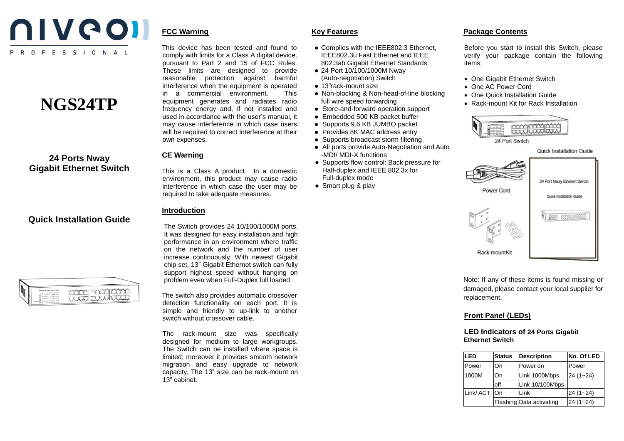

# **NGS24TP**

# **24 Ports Nway Gigabit Ethernet Switch**

## **Quick Installation Guide**

man bord prod<br>Koop produced

This device has been tested and found to comply with limits for a Class A digital device, pursuant to Part 2 and 15 of FCC Rules. These limits are designed to provide reasonable protection against harmful interference when the equipment is operated in a commercial environment. This equipment generates and radiates radio frequency energy and, if not installed and used in accordance with the user's manual, it may cause interference in which case users will be required to correct interference at their own expenses.

## **CE Warning**

**FCC Warning**

This is a Class A product. In a domestic environment, this product may cause radio interference in which case the user may be required to take adequate measures.

### **Introduction**

The Switch provides 24 10/100/1000M ports. It was designed for easy installation and high performance in an environment where traffic on the network and the number of user increase continuously. With newest Gigabit chip set, 13" Gigabit Ethernet switch can fully support highest speed without hanging on problem even when Full-Duplex full loaded.

The switch also provides automatic crossover detection functionality on each port. It is simple and friendly to up-link to another switch without crossover cable.

The rack-mount size was specifically designed for medium to large workgroups. The Switch can be installed where space is limited; moreover it provides smooth network migration and easy upgrade to network capacity. The 13" size can be rack-mount on 13" cabinet.

## **Key Features**

- Complies with the IEEE802.3 Ethernet, IEEE802.3u Fast Ethernet and IEEE 802.3ab Gigabit Ethernet Standards
- 24 Port 10/100/1000M Nway (Auto-negotiation) Switch
- 13"rack-mount size
- Non-blocking & Non-head-of-line blocking full wire speed forwarding
- Store-and-forward operation support
- Embedded 500 KB packet buffer
- Supports 9.6 KB JUMBO packet
- Provides 8K MAC address entry
- Supports broadcast storm filtering
- All ports provide Auto-Negotiation and Auto -MDI/ MDI-X functions
- Supports flow control: Back pressure for Half-duplex and IEEE 802.3x for Full-duplex mode
- Smart plug & play

## **Package Contents**

Before you start to install this Switch, please verify your package contain the following items:

- One Gigabit Ethernet Switch
- One AC Power Cord
- One Quick Installation Guide
- Rack-mount Kit for Rack Installation



Quick Installation Guide



Note: If any of these items is found missing or damaged, please contact your local supplier for replacement.

## **Front Panel (LEDs)**

#### **LED Indicators of 24 Ports Gigabit Ethernet Switch**

| LED         | <b>Status</b> | Description              | No. Of LED   |
|-------------|---------------|--------------------------|--------------|
| Power       | On            | Power on                 | Power        |
| 1000M       | On            | Link 1000Mbps            | $24(1 - 24)$ |
|             | off           | Link 10/100Mbps          |              |
| Link/ACT On |               | Link                     | $24(1 - 24)$ |
|             |               | Flashing Data activating | $24(1 - 24)$ |